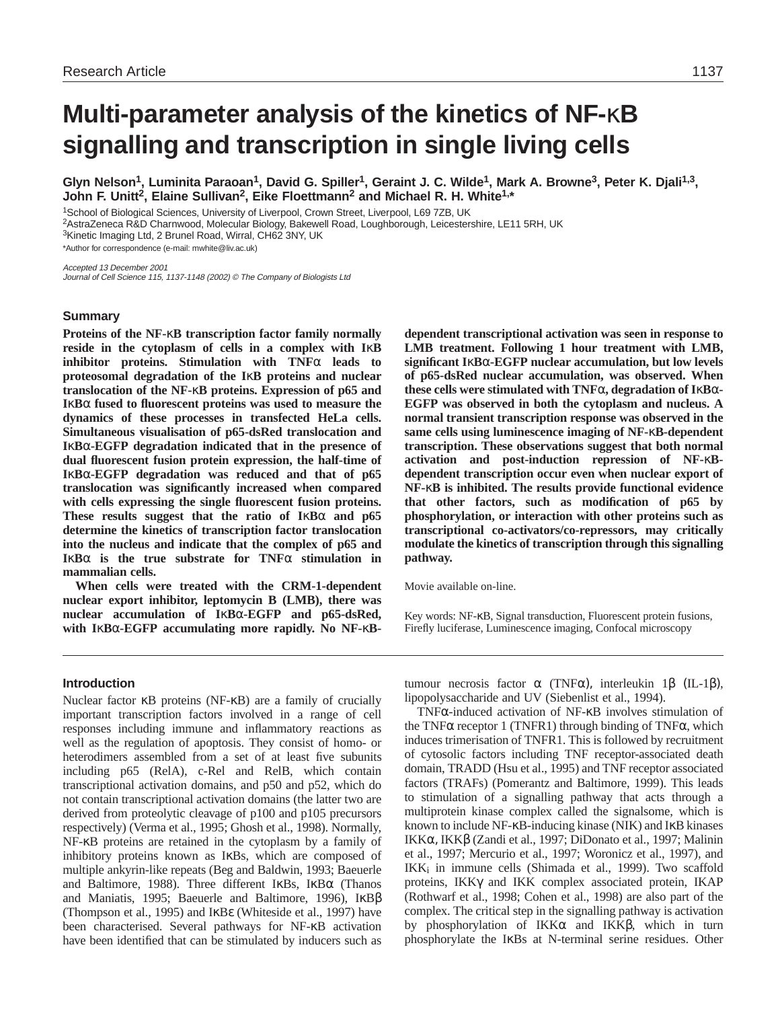# **Multi-parameter analysis of the kinetics of NF-**κ**B signalling and transcription in single living cells**

**Glyn Nelson1, Luminita Paraoan1, David G. Spiller1, Geraint J. C. Wilde1, Mark A. Browne3, Peter K. Djali1,3, John F. Unitt2, Elaine Sullivan2, Eike Floettmann2 and Michael R. H. White1,\***

1School of Biological Sciences, University of Liverpool, Crown Street, Liverpool, L69 7ZB, UK

2AstraZeneca R&D Charnwood, Molecular Biology, Bakewell Road, Loughborough, Leicestershire, LE11 5RH, UK 3Kinetic Imaging Ltd, 2 Brunel Road, Wirral, CH62 3NY, UK

\*Author for correspondence (e-mail: mwhite@liv.ac.uk)

Accepted 13 December 2001 Journal of Cell Science 115, 1137-1148 (2002) © The Company of Biologists Ltd

# **Summary**

**Proteins of the NF-**κ**B transcription factor family normally reside in the cytoplasm of cells in a complex with I**κ**B inhibitor proteins. Stimulation with TNF**α **leads to proteosomal degradation of the I**κ**B proteins and nuclear translocation of the NF-**κ**B proteins. Expression of p65 and I**κ**B**α **fused to fluorescent proteins was used to measure the dynamics of these processes in transfected HeLa cells. Simultaneous visualisation of p65-dsRed translocation and I**κ**B**α**-EGFP degradation indicated that in the presence of dual fluorescent fusion protein expression, the half-time of I**κ**B**α**-EGFP degradation was reduced and that of p65 translocation was significantly increased when compared with cells expressing the single fluorescent fusion proteins. These results suggest that the ratio of I**κ**B**α **and p65 determine the kinetics of transcription factor translocation into the nucleus and indicate that the complex of p65 and I**κ**B**α **is the true substrate for TNF**α **stimulation in mammalian cells.** 

**When cells were treated with the CRM-1-dependent nuclear export inhibitor, leptomycin B (LMB), there was nuclear accumulation of I**κ**B**α**-EGFP and p65-dsRed, with I**κ**B**α**-EGFP accumulating more rapidly. No NF-**κ**B-**

**dependent transcriptional activation was seen in response to LMB treatment. Following 1 hour treatment with LMB, significant I**κ**B**α**-EGFP nuclear accumulation, but low levels of p65-dsRed nuclear accumulation, was observed. When these cells were stimulated with TNF**α**, degradation of I**κ**B**α**-EGFP was observed in both the cytoplasm and nucleus. A normal transient transcription response was observed in the same cells using luminescence imaging of NF-**κ**B-dependent transcription. These observations suggest that both normal activation and post-induction repression of NF-**κ**Bdependent transcription occur even when nuclear export of NF-**κ**B is inhibited. The results provide functional evidence that other factors, such as modification of p65 by phosphorylation, or interaction with other proteins such as transcriptional co-activators/co-repressors, may critically modulate the kinetics of transcription through this signalling pathway.**

Movie available on-line.

Key words: NF-κB, Signal transduction, Fluorescent protein fusions, Firefly luciferase, Luminescence imaging, Confocal microscopy

# **Introduction**

Nuclear factor κB proteins (NF-κB) are a family of crucially important transcription factors involved in a range of cell responses including immune and inflammatory reactions as well as the regulation of apoptosis. They consist of homo- or heterodimers assembled from a set of at least five subunits including p65 (RelA), c-Rel and RelB, which contain transcriptional activation domains, and p50 and p52, which do not contain transcriptional activation domains (the latter two are derived from proteolytic cleavage of p100 and p105 precursors respectively) (Verma et al., 1995; Ghosh et al., 1998). Normally, NF-κB proteins are retained in the cytoplasm by a family of inhibitory proteins known as IκBs, which are composed of multiple ankyrin-like repeats (Beg and Baldwin, 1993; Baeuerle and Baltimore, 1988). Three different IκBs, IκBα (Thanos and Maniatis, 1995; Baeuerle and Baltimore, 1996), IκBβ (Thompson et al., 1995) and IκBε (Whiteside et al., 1997) have been characterised. Several pathways for NF-κB activation have been identified that can be stimulated by inducers such as

tumour necrosis factor α (TNFα), interleukin 1β (IL-1β), lipopolysaccharide and UV (Siebenlist et al., 1994).

TNFα-induced activation of NF-κB involves stimulation of the TNF $\alpha$  receptor 1 (TNFR1) through binding of TNF $\alpha$ , which induces trimerisation of TNFR1. This is followed by recruitment of cytosolic factors including TNF receptor-associated death domain, TRADD (Hsu et al., 1995) and TNF receptor associated factors (TRAFs) (Pomerantz and Baltimore, 1999). This leads to stimulation of a signalling pathway that acts through a multiprotein kinase complex called the signalsome, which is known to include NF-κB-inducing kinase (NIK) and IκB kinases IKKα, IKKβ (Zandi et al., 1997; DiDonato et al., 1997; Malinin et al., 1997; Mercurio et al., 1997; Woronicz et al., 1997), and IKK<sub>i</sub> in immune cells (Shimada et al., 1999). Two scaffold proteins, IKKγ and IKK complex associated protein, IKAP (Rothwarf et al., 1998; Cohen et al., 1998) are also part of the complex. The critical step in the signalling pathway is activation by phosphorylation of IKKα and IKKβ, which in turn phosphorylate the IκBs at N-terminal serine residues. Other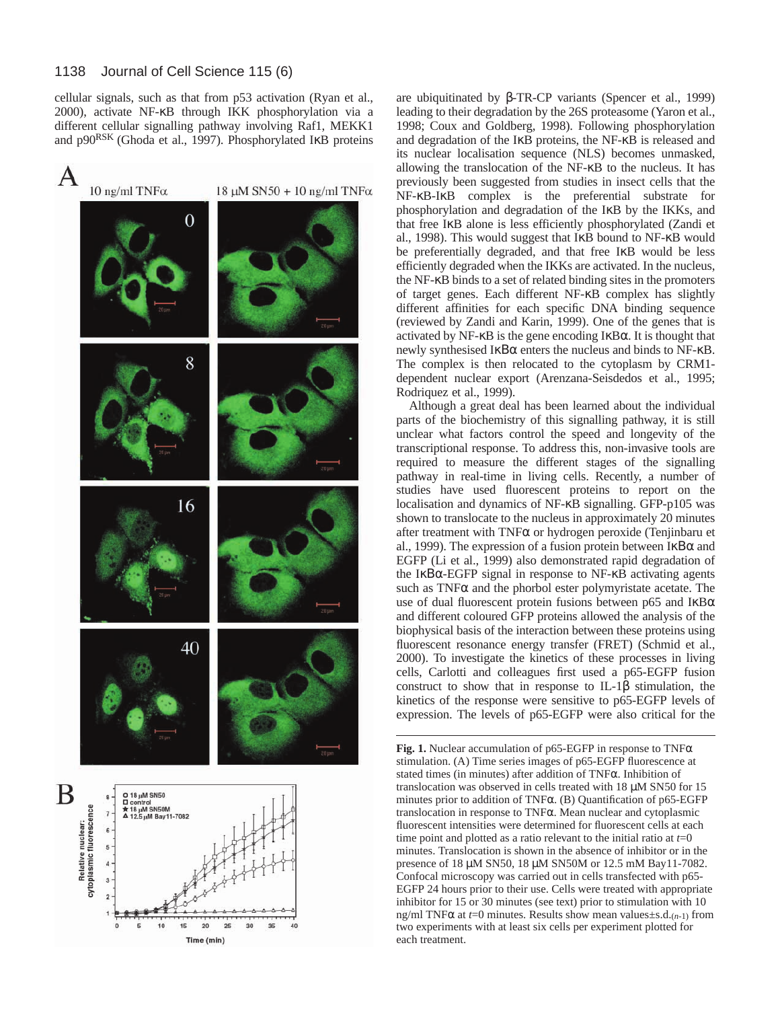cellular signals, such as that from p53 activation (Ryan et al., 2000), activate NF-κB through IKK phosphorylation via a different cellular signalling pathway involving Raf1, MEKK1 and p90RSK (Ghoda et al., 1997). Phosphorylated IκB proteins



are ubiquitinated by β-TR-CP variants (Spencer et al., 1999) leading to their degradation by the 26S proteasome (Yaron et al., 1998; Coux and Goldberg, 1998). Following phosphorylation and degradation of the IκB proteins, the NF-κB is released and its nuclear localisation sequence (NLS) becomes unmasked, allowing the translocation of the NF-κB to the nucleus. It has previously been suggested from studies in insect cells that the NF-κB-IκB complex is the preferential substrate for phosphorylation and degradation of the IκB by the IKKs, and that free IκB alone is less efficiently phosphorylated (Zandi et al., 1998). This would suggest that IκB bound to NF-κB would be preferentially degraded, and that free IKB would be less efficiently degraded when the IKKs are activated. In the nucleus, the NF-κB binds to a set of related binding sites in the promoters of target genes. Each different NF-κB complex has slightly different affinities for each specific DNA binding sequence (reviewed by Zandi and Karin, 1999). One of the genes that is activated by NF- $\kappa$ B is the gene encoding I $\kappa$ B $\alpha$ . It is thought that newly synthesised IκΒα enters the nucleus and binds to NF-κB. The complex is then relocated to the cytoplasm by CRM1 dependent nuclear export (Arenzana-Seisdedos et al., 1995; Rodriquez et al., 1999).

Although a great deal has been learned about the individual parts of the biochemistry of this signalling pathway, it is still unclear what factors control the speed and longevity of the transcriptional response. To address this, non-invasive tools are required to measure the different stages of the signalling pathway in real-time in living cells. Recently, a number of studies have used fluorescent proteins to report on the localisation and dynamics of NF-κB signalling. GFP-p105 was shown to translocate to the nucleus in approximately 20 minutes after treatment with TNFα or hydrogen peroxide (Tenjinbaru et al., 1999). The expression of a fusion protein between  $I\kappa B\alpha$  and EGFP (Li et al., 1999) also demonstrated rapid degradation of the IκΒα-EGFP signal in response to NF-κB activating agents such as  $TNF\alpha$  and the phorbol ester polymyristate acetate. The use of dual fluorescent protein fusions between p65 and IκBα and different coloured GFP proteins allowed the analysis of the biophysical basis of the interaction between these proteins using fluorescent resonance energy transfer (FRET) (Schmid et al., 2000). To investigate the kinetics of these processes in living cells, Carlotti and colleagues first used a p65-EGFP fusion construct to show that in response to IL-1β stimulation, the kinetics of the response were sensitive to p65-EGFP levels of expression. The levels of p65-EGFP were also critical for the

**Fig. 1.** Nuclear accumulation of p65-EGFP in response to TNFα stimulation. (A) Time series images of p65-EGFP fluorescence at stated times (in minutes) after addition of TNFα. Inhibition of translocation was observed in cells treated with 18 µM SN50 for 15 minutes prior to addition of TNFα. (B) Quantification of p65-EGFP translocation in response to TNFα. Mean nuclear and cytoplasmic fluorescent intensities were determined for fluorescent cells at each time point and plotted as a ratio relevant to the initial ratio at  $t=0$ minutes. Translocation is shown in the absence of inhibitor or in the presence of 18 µM SN50, 18 µM SN50M or 12.5 mM Bay11-7082. Confocal microscopy was carried out in cells transfected with p65- EGFP 24 hours prior to their use. Cells were treated with appropriate inhibitor for 15 or 30 minutes (see text) prior to stimulation with 10 ng/ml TNFα at *t*=0 minutes. Results show mean values±s.d.(*n*-1) from two experiments with at least six cells per experiment plotted for each treatment.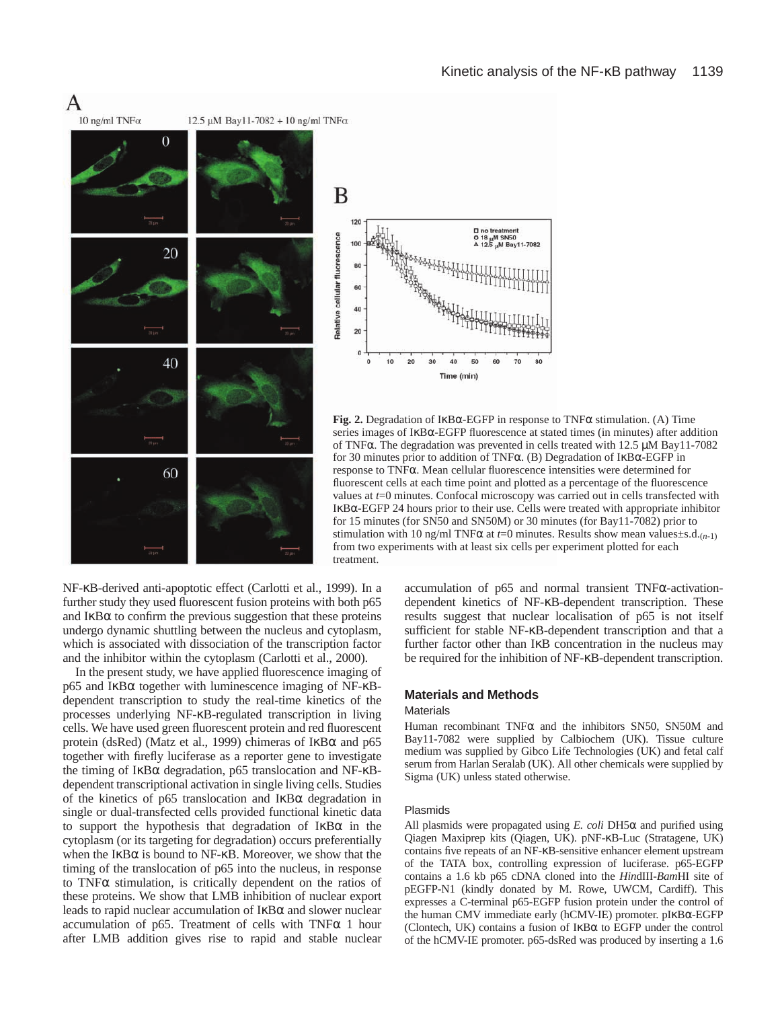



**Fig. 2.** Degradation of IκBα-EGFP in response to TNFα stimulation. (A) Time series images of IκBα-EGFP fluorescence at stated times (in minutes) after addition of TNFα. The degradation was prevented in cells treated with 12.5 µM Bay11-7082 for 30 minutes prior to addition of TNFα. (B) Degradation of IκBα-EGFP in response to TNFα. Mean cellular fluorescence intensities were determined for fluorescent cells at each time point and plotted as a percentage of the fluorescence values at *t*=0 minutes. Confocal microscopy was carried out in cells transfected with IκBα-EGFP 24 hours prior to their use. Cells were treated with appropriate inhibitor for 15 minutes (for SN50 and SN50M) or 30 minutes (for Bay11-7082) prior to stimulation with 10 ng/ml TNF $\alpha$  at  $t=0$  minutes. Results show mean values $\pm$ s.d. $(n-1)$ from two experiments with at least six cells per experiment plotted for each treatment.

NF-κB-derived anti-apoptotic effect (Carlotti et al., 1999). In a further study they used fluorescent fusion proteins with both p65 and  $I \kappa B\alpha$  to confirm the previous suggestion that these proteins undergo dynamic shuttling between the nucleus and cytoplasm, which is associated with dissociation of the transcription factor and the inhibitor within the cytoplasm (Carlotti et al., 2000).

In the present study, we have applied fluorescence imaging of p65 and IκBα together with luminescence imaging of NF-κBdependent transcription to study the real-time kinetics of the processes underlying NF-κB-regulated transcription in living cells. We have used green fluorescent protein and red fluorescent protein (dsRed) (Matz et al., 1999) chimeras of IκBα and p65 together with firefly luciferase as a reporter gene to investigate the timing of IκBα degradation, p65 translocation and NF-κBdependent transcriptional activation in single living cells. Studies of the kinetics of p65 translocation and IκBα degradation in single or dual-transfected cells provided functional kinetic data to support the hypothesis that degradation of  $I$ κ $B\alpha$  in the cytoplasm (or its targeting for degradation) occurs preferentially when the IκBα is bound to NF-κB. Moreover, we show that the timing of the translocation of p65 into the nucleus, in response to TNFα stimulation, is critically dependent on the ratios of these proteins. We show that LMB inhibition of nuclear export leads to rapid nuclear accumulation of  $I$ <sub>KB $\alpha$ </sub> and slower nuclear accumulation of p65. Treatment of cells with  $TNF\alpha$  1 hour after LMB addition gives rise to rapid and stable nuclear

accumulation of p65 and normal transient TNFα-activationdependent kinetics of NF-κB-dependent transcription. These results suggest that nuclear localisation of p65 is not itself sufficient for stable NF-κB-dependent transcription and that a further factor other than IκB concentration in the nucleus may be required for the inhibition of NF-κB-dependent transcription.

#### **Materials and Methods**

#### **Materials**

Human recombinant TNFα and the inhibitors SN50, SN50M and Bay11-7082 were supplied by Calbiochem (UK). Tissue culture medium was supplied by Gibco Life Technologies (UK) and fetal calf serum from Harlan Seralab (UK). All other chemicals were supplied by Sigma (UK) unless stated otherwise.

#### Plasmids

All plasmids were propagated using *E. coli* DH5α and purified using Qiagen Maxiprep kits (Qiagen, UK). pNF-κB-Luc (Stratagene, UK) contains five repeats of an NF-κB-sensitive enhancer element upstream of the TATA box, controlling expression of luciferase. p65-EGFP contains a 1.6 kb p65 cDNA cloned into the *Hin*dIII-*Bam*HI site of pEGFP-N1 (kindly donated by M. Rowe, UWCM, Cardiff). This expresses a C-terminal p65-EGFP fusion protein under the control of the human CMV immediate early (hCMV-IE) promoter. pIκBα-EGFP (Clontech, UK) contains a fusion of  $I \kappa B\alpha$  to EGFP under the control of the hCMV-IE promoter. p65-dsRed was produced by inserting a 1.6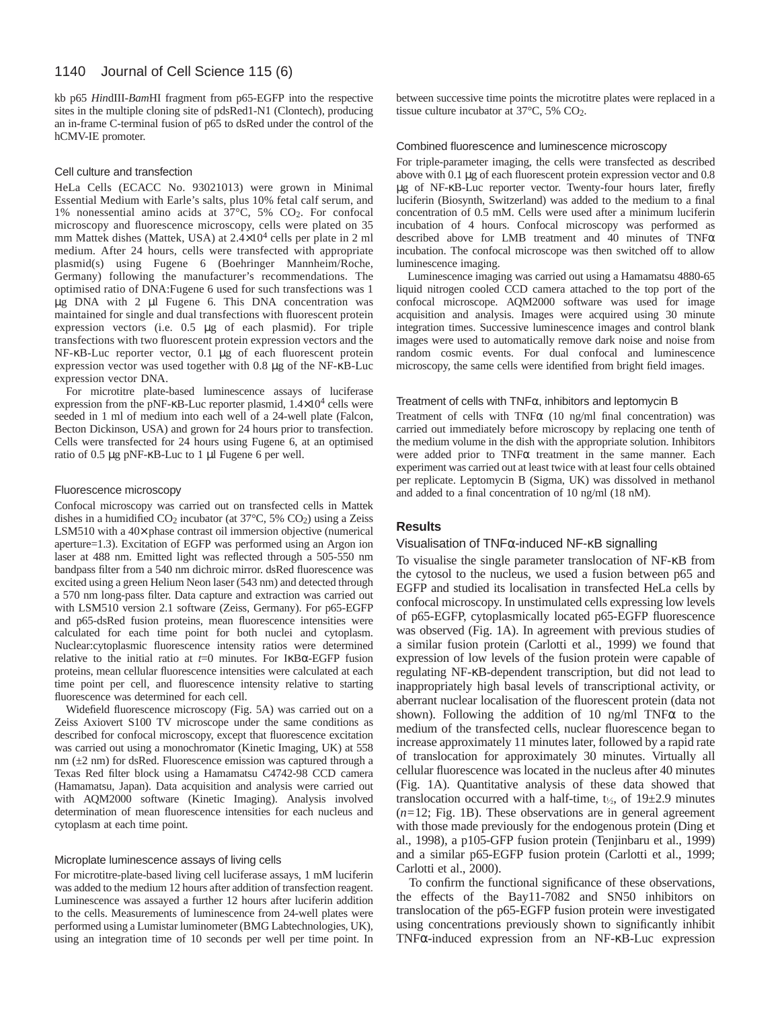kb p65 *Hin*dIII-*Bam*HI fragment from p65-EGFP into the respective sites in the multiple cloning site of pdsRed1-N1 (Clontech), producing an in-frame C-terminal fusion of p65 to dsRed under the control of the hCMV-IE promoter.

#### Cell culture and transfection

HeLa Cells (ECACC No. 93021013) were grown in Minimal Essential Medium with Earle's salts, plus 10% fetal calf serum, and 1% nonessential amino acids at 37°C, 5% CO2. For confocal microscopy and fluorescence microscopy, cells were plated on 35 mm Mattek dishes (Mattek, USA) at  $2.4\times10^4$  cells per plate in 2 ml medium. After 24 hours, cells were transfected with appropriate plasmid(s) using Fugene 6 (Boehringer Mannheim/Roche, Germany) following the manufacturer's recommendations. The optimised ratio of DNA:Fugene 6 used for such transfections was 1 µg DNA with 2 µl Fugene 6. This DNA concentration was maintained for single and dual transfections with fluorescent protein expression vectors (i.e. 0.5 µg of each plasmid). For triple transfections with two fluorescent protein expression vectors and the NF-κB-Luc reporter vector, 0.1 µg of each fluorescent protein expression vector was used together with 0.8 µg of the NF-κB-Luc expression vector DNA.

For microtitre plate-based luminescence assays of luciferase expression from the pNF- $\kappa$ B-Luc reporter plasmid,  $1.4\times10^4$  cells were seeded in 1 ml of medium into each well of a 24-well plate (Falcon, Becton Dickinson, USA) and grown for 24 hours prior to transfection. Cells were transfected for 24 hours using Fugene 6, at an optimised ratio of 0.5 µg pNF-κB-Luc to 1 µl Fugene 6 per well.

#### Fluorescence microscopy

Confocal microscopy was carried out on transfected cells in Mattek dishes in a humidified  $CO_2$  incubator (at 37°C, 5%  $CO_2$ ) using a Zeiss LSM510 with a 40× phase contrast oil immersion objective (numerical aperture=1.3). Excitation of EGFP was performed using an Argon ion laser at 488 nm. Emitted light was reflected through a 505-550 nm bandpass filter from a 540 nm dichroic mirror. dsRed fluorescence was excited using a green Helium Neon laser (543 nm) and detected through a 570 nm long-pass filter. Data capture and extraction was carried out with LSM510 version 2.1 software (Zeiss, Germany). For p65-EGFP and p65-dsRed fusion proteins, mean fluorescence intensities were calculated for each time point for both nuclei and cytoplasm. Nuclear:cytoplasmic fluorescence intensity ratios were determined relative to the initial ratio at *t*=0 minutes. For IκBα-EGFP fusion proteins, mean cellular fluorescence intensities were calculated at each time point per cell, and fluorescence intensity relative to starting fluorescence was determined for each cell.

Widefield fluorescence microscopy (Fig. 5A) was carried out on a Zeiss Axiovert S100 TV microscope under the same conditions as described for confocal microscopy, except that fluorescence excitation was carried out using a monochromator (Kinetic Imaging, UK) at 558 nm (±2 nm) for dsRed. Fluorescence emission was captured through a Texas Red filter block using a Hamamatsu C4742-98 CCD camera (Hamamatsu, Japan). Data acquisition and analysis were carried out with AQM2000 software (Kinetic Imaging). Analysis involved determination of mean fluorescence intensities for each nucleus and cytoplasm at each time point.

#### Microplate luminescence assays of living cells

For microtitre-plate-based living cell luciferase assays, 1 mM luciferin was added to the medium 12 hours after addition of transfection reagent. Luminescence was assayed a further 12 hours after luciferin addition to the cells. Measurements of luminescence from 24-well plates were performed using a Lumistar luminometer (BMG Labtechnologies, UK), using an integration time of 10 seconds per well per time point. In between successive time points the microtitre plates were replaced in a tissue culture incubator at 37°C, 5% CO2.

#### Combined fluorescence and luminescence microscopy

For triple-parameter imaging, the cells were transfected as described above with 0.1 µg of each fluorescent protein expression vector and 0.8 µg of NF-κB-Luc reporter vector. Twenty-four hours later, firefly luciferin (Biosynth, Switzerland) was added to the medium to a final concentration of 0.5 mM. Cells were used after a minimum luciferin incubation of 4 hours. Confocal microscopy was performed as described above for LMB treatment and 40 minutes of TNFα incubation. The confocal microscope was then switched off to allow luminescence imaging.

Luminescence imaging was carried out using a Hamamatsu 4880-65 liquid nitrogen cooled CCD camera attached to the top port of the confocal microscope. AQM2000 software was used for image acquisition and analysis. Images were acquired using 30 minute integration times. Successive luminescence images and control blank images were used to automatically remove dark noise and noise from random cosmic events. For dual confocal and luminescence microscopy, the same cells were identified from bright field images.

#### Treatment of cells with  $TNF\alpha$ , inhibitors and leptomycin B

Treatment of cells with TNF $\alpha$  (10 ng/ml final concentration) was carried out immediately before microscopy by replacing one tenth of the medium volume in the dish with the appropriate solution. Inhibitors were added prior to TNFα treatment in the same manner. Each experiment was carried out at least twice with at least four cells obtained per replicate. Leptomycin B (Sigma, UK) was dissolved in methanol and added to a final concentration of 10 ng/ml (18 nM).

### **Results**

#### Visualisation of TNFα-induced NF-κB signalling

To visualise the single parameter translocation of NF-κB from the cytosol to the nucleus, we used a fusion between p65 and EGFP and studied its localisation in transfected HeLa cells by confocal microscopy. In unstimulated cells expressing low levels of p65-EGFP, cytoplasmically located p65-EGFP fluorescence was observed (Fig. 1A). In agreement with previous studies of a similar fusion protein (Carlotti et al., 1999) we found that expression of low levels of the fusion protein were capable of regulating NF-κB-dependent transcription, but did not lead to inappropriately high basal levels of transcriptional activity, or aberrant nuclear localisation of the fluorescent protein (data not shown). Following the addition of 10 ng/ml TNF $\alpha$  to the medium of the transfected cells, nuclear fluorescence began to increase approximately 11 minutes later, followed by a rapid rate of translocation for approximately 30 minutes. Virtually all cellular fluorescence was located in the nucleus after 40 minutes (Fig. 1A). Quantitative analysis of these data showed that translocation occurred with a half-time,  $t_{1/2}$ , of  $19\pm2.9$  minutes (*n=*12; Fig. 1B). These observations are in general agreement with those made previously for the endogenous protein (Ding et al., 1998), a p105-GFP fusion protein (Tenjinbaru et al., 1999) and a similar p65-EGFP fusion protein (Carlotti et al., 1999; Carlotti et al., 2000).

To confirm the functional significance of these observations, the effects of the Bay11-7082 and SN50 inhibitors on translocation of the p65-EGFP fusion protein were investigated using concentrations previously shown to significantly inhibit TNFα-induced expression from an NF-κB-Luc expression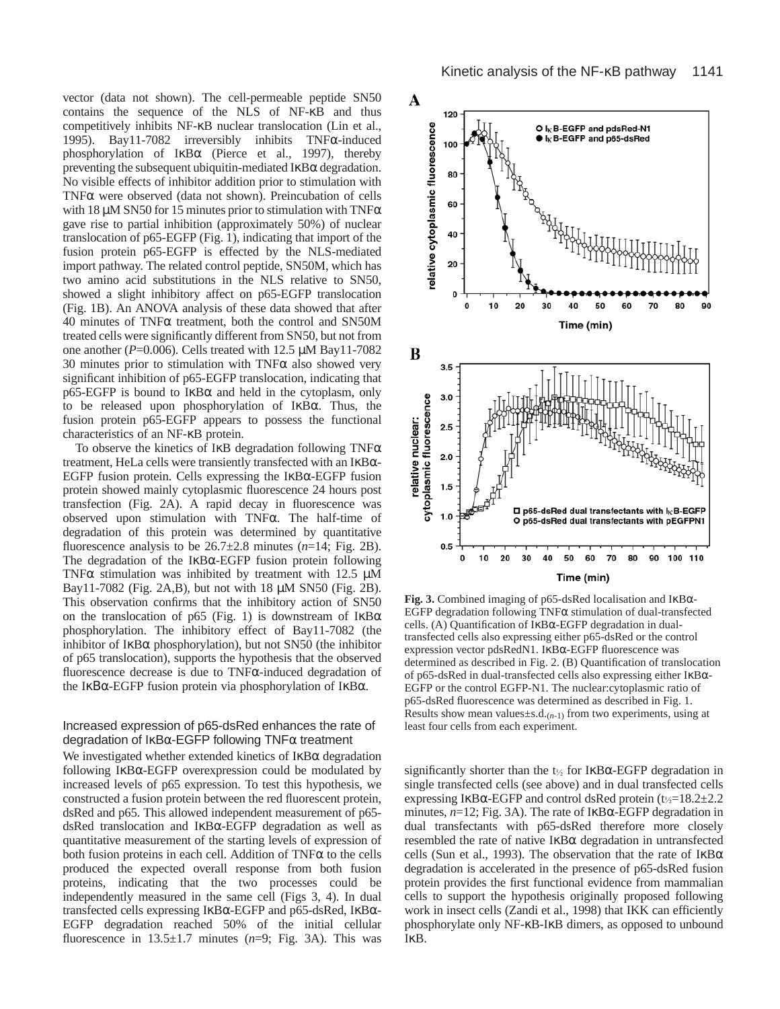vector (data not shown). The cell-permeable peptide SN50 contains the sequence of the NLS of NF-κB and thus competitively inhibits NF-κB nuclear translocation (Lin et al., 1995). Bay11-7082 irreversibly inhibits TNFα-induced phosphorylation of IκBα (Pierce et al., 1997), thereby preventing the subsequent ubiquitin-mediated IκBα degradation. No visible effects of inhibitor addition prior to stimulation with TNFα were observed (data not shown). Preincubation of cells with 18  $\mu$ M SN50 for 15 minutes prior to stimulation with TNF $\alpha$ gave rise to partial inhibition (approximately 50%) of nuclear translocation of p65-EGFP (Fig. 1), indicating that import of the fusion protein p65-EGFP is effected by the NLS-mediated import pathway. The related control peptide, SN50M, which has two amino acid substitutions in the NLS relative to SN50, showed a slight inhibitory affect on p65-EGFP translocation (Fig. 1B). An ANOVA analysis of these data showed that after 40 minutes of TNFα treatment, both the control and SN50M treated cells were significantly different from SN50, but not from one another ( $P=0.006$ ). Cells treated with 12.5  $\mu$ M Bay11-7082 30 minutes prior to stimulation with TNFα also showed very significant inhibition of p65-EGFP translocation, indicating that  $p65-EGFP$  is bound to I $κBα$  and held in the cytoplasm, only to be released upon phosphorylation of IκBα. Thus, the fusion protein p65-EGFP appears to possess the functional characteristics of an NF-κB protein.

To observe the kinetics of IκB degradation following TNFα treatment, HeLa cells were transiently transfected with an IκBα-EGFP fusion protein. Cells expressing the IκBα-EGFP fusion protein showed mainly cytoplasmic fluorescence 24 hours post transfection (Fig. 2A). A rapid decay in fluorescence was observed upon stimulation with TNFα. The half-time of degradation of this protein was determined by quantitative fluorescence analysis to be  $26.7\pm2.8$  minutes ( $n=14$ ; Fig. 2B). The degradation of the IκBα-EGFP fusion protein following TNF $\alpha$  stimulation was inhibited by treatment with 12.5  $\mu$ M Bay11-7082 (Fig. 2A,B), but not with 18 µM SN50 (Fig. 2B). This observation confirms that the inhibitory action of SN50 on the translocation of p65 (Fig. 1) is downstream of  $I \kappa B\alpha$ phosphorylation. The inhibitory effect of Bay11-7082 (the inhibitor of  $I$ κ $B\alpha$  phosphorylation), but not SN50 (the inhibitor of p65 translocation), supports the hypothesis that the observed fluorescence decrease is due to TNFα-induced degradation of the IκΒα-EGFP fusion protein via phosphorylation of IκBα.

## Increased expression of p65-dsRed enhances the rate of degradation of  $I \kappa B \alpha$ -EGFP following TNF $\alpha$  treatment

We investigated whether extended kinetics of  $I$ <sub>KB $\alpha$ </sub> degradation following IκBα-EGFP overexpression could be modulated by increased levels of p65 expression. To test this hypothesis, we constructed a fusion protein between the red fluorescent protein, dsRed and p65. This allowed independent measurement of p65 dsRed translocation and IκBα-EGFP degradation as well as quantitative measurement of the starting levels of expression of both fusion proteins in each cell. Addition of  $TNF\alpha$  to the cells produced the expected overall response from both fusion proteins, indicating that the two processes could be independently measured in the same cell (Figs 3, 4). In dual transfected cells expressing IκBα-EGFP and p65-dsRed, IκBα-EGFP degradation reached 50% of the initial cellular fluorescence in 13.5±1.7 minutes (*n*=9; Fig. 3A). This was



**Fig. 3.** Combined imaging of p65-dsRed localisation and IκBα-EGFP degradation following TNFα stimulation of dual-transfected cells. (A) Quantification of IκBα-EGFP degradation in dualtransfected cells also expressing either p65-dsRed or the control expression vector pdsRedN1. IκBα-EGFP fluorescence was determined as described in Fig. 2. (B) Quantification of translocation of p65-dsRed in dual-transfected cells also expressing either IκBα-EGFP or the control EGFP-N1. The nuclear:cytoplasmic ratio of p65-dsRed fluorescence was determined as described in Fig. 1. Results show mean values $\pm$ s.d. $(n-1)$  from two experiments, using at least four cells from each experiment.

significantly shorter than the  $t_{\frac{1}{2}}$  for IKB $\alpha$ -EGFP degradation in single transfected cells (see above) and in dual transfected cells expressing IkB $\alpha$ -EGFP and control dsRed protein (t $\frac{1}{2}$ =18.2±2.2 minutes, *n*=12; Fig. 3A). The rate of IκBα-EGFP degradation in dual transfectants with p65-dsRed therefore more closely resembled the rate of native IκBα degradation in untransfected cells (Sun et al., 1993). The observation that the rate of  $I\kappa B\alpha$ degradation is accelerated in the presence of p65-dsRed fusion protein provides the first functional evidence from mammalian cells to support the hypothesis originally proposed following work in insect cells (Zandi et al., 1998) that IKK can efficiently phosphorylate only NF-κB-IκB dimers, as opposed to unbound IκB.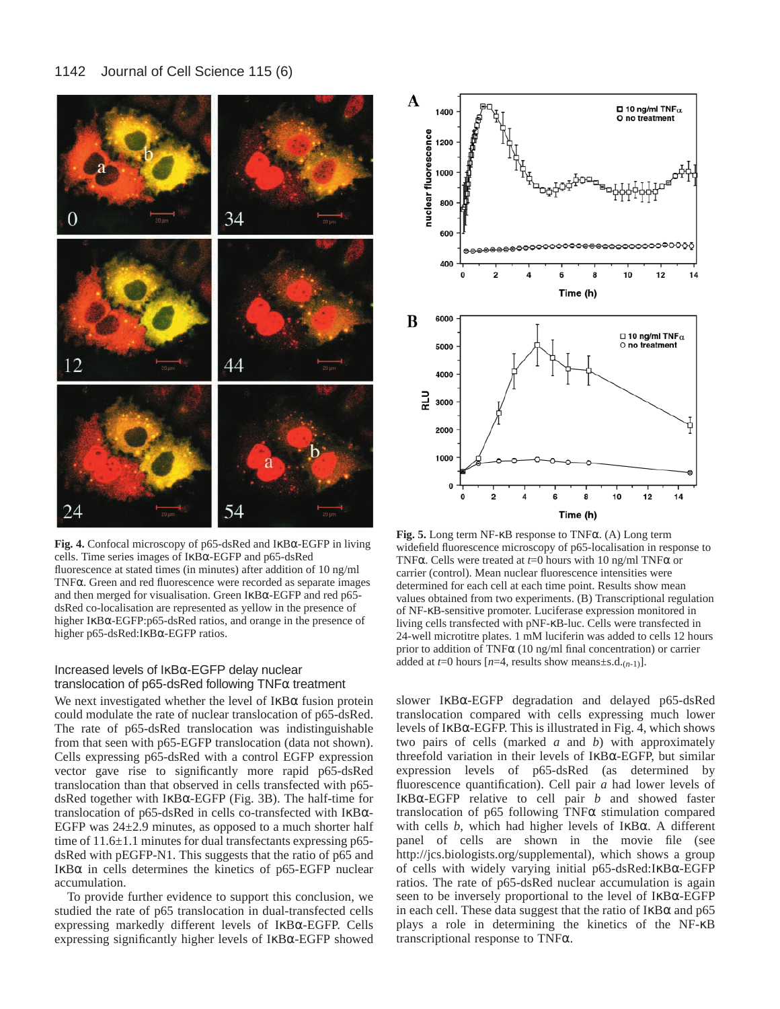

**Fig. 4.** Confocal microscopy of p65-dsRed and IκBα-EGFP in living cells. Time series images of IκBα-EGFP and p65-dsRed fluorescence at stated times (in minutes) after addition of 10 ng/ml TNFα. Green and red fluorescence were recorded as separate images and then merged for visualisation. Green IκBα-EGFP and red p65 dsRed co-localisation are represented as yellow in the presence of higher IκBα-EGFP:p65-dsRed ratios, and orange in the presence of higher p65-dsRed:IκBα-EGFP ratios.

# Increased levels of IκBα-EGFP delay nuclear translocation of p65-dsRed following  $\mathsf{TNF}\alpha$  treatment

We next investigated whether the level of IκBα fusion protein could modulate the rate of nuclear translocation of p65-dsRed. The rate of p65-dsRed translocation was indistinguishable from that seen with p65-EGFP translocation (data not shown). Cells expressing p65-dsRed with a control EGFP expression vector gave rise to significantly more rapid p65-dsRed translocation than that observed in cells transfected with p65 dsRed together with IκBα-EGFP (Fig. 3B). The half-time for translocation of p65-dsRed in cells co-transfected with IκBα-EGFP was  $24\pm2.9$  minutes, as opposed to a much shorter half time of 11.6±1.1 minutes for dual transfectants expressing p65dsRed with pEGFP-N1. This suggests that the ratio of p65 and IκBα in cells determines the kinetics of p65-EGFP nuclear accumulation.

To provide further evidence to support this conclusion, we studied the rate of p65 translocation in dual-transfected cells expressing markedly different levels of IκBα-EGFP. Cells expressing significantly higher levels of IκBα-EGFP showed



**Fig. 5.** Long term NF-κB response to TNFα. (A) Long term widefield fluorescence microscopy of p65-localisation in response to TNFα. Cells were treated at *t*=0 hours with 10 ng/ml TNFα or carrier (control). Mean nuclear fluorescence intensities were determined for each cell at each time point. Results show mean values obtained from two experiments. (B) Transcriptional regulation of NF-κB-sensitive promoter. Luciferase expression monitored in living cells transfected with pNF-κB-luc. Cells were transfected in 24-well microtitre plates. 1 mM luciferin was added to cells 12 hours prior to addition of TNF $\alpha$  (10 ng/ml final concentration) or carrier added at  $t=0$  hours  $[n=4]$ , results show means $\pm$ s.d. $(n-1)$ ].

slower IκBα-EGFP degradation and delayed p65-dsRed translocation compared with cells expressing much lower levels of IκBα-EGFP. This is illustrated in Fig. 4, which shows two pairs of cells (marked *a* and *b*) with approximately threefold variation in their levels of IκBα-EGFP, but similar expression levels of p65-dsRed (as determined by fluorescence quantification). Cell pair *a* had lower levels of IκBα-EGFP relative to cell pair *b* and showed faster translocation of p65 following TNFα stimulation compared with cells *b*, which had higher levels of IκBα. A different panel of cells are shown in the movie file (see [http://jcs.biologists.org/supplemental\),](http://jcs.biologists.org/supplemental) which shows a group of cells with widely varying initial p65-dsRed:IκBα-EGFP ratios. The rate of p65-dsRed nuclear accumulation is again seen to be inversely proportional to the level of IκBα-EGFP in each cell. These data suggest that the ratio of  $I$ <sub>K</sub>B $\alpha$  and p65 plays a role in determining the kinetics of the NF-κB transcriptional response to TNFα.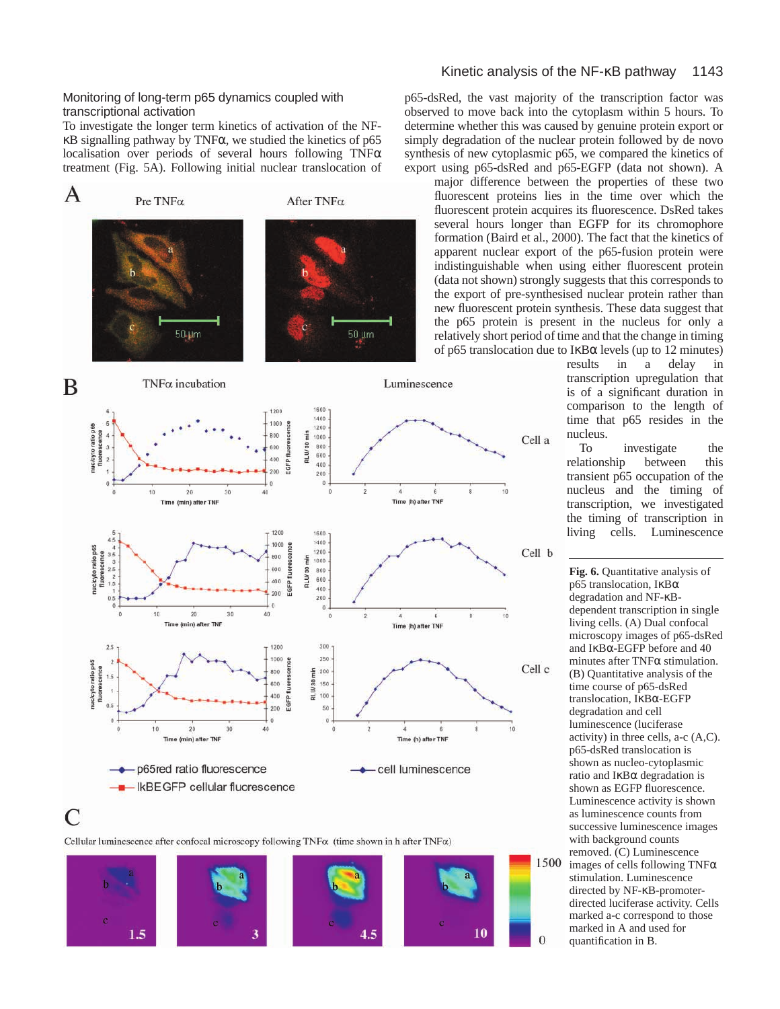# Monitoring of long-term p65 dynamics coupled with transcriptional activation

To investigate the longer term kinetics of activation of the NFκB signalling pathway by TNFα, we studied the kinetics of p65 localisation over periods of several hours following TNFα treatment (Fig. 5A). Following initial nuclear translocation of



Cellular luminescence after confocal microscopy following  $TNF\alpha$  (time shown in h after  $TNF\alpha$ )

 $\mathcal{C}$ 



# Kinetic analysis of the NF-κB pathway 1143

p65-dsRed, the vast majority of the transcription factor was observed to move back into the cytoplasm within 5 hours. To determine whether this was caused by genuine protein export or simply degradation of the nuclear protein followed by de novo synthesis of new cytoplasmic p65, we compared the kinetics of export using p65-dsRed and p65-EGFP (data not shown). A

major difference between the properties of these two fluorescent proteins lies in the time over which the fluorescent protein acquires its fluorescence. DsRed takes several hours longer than EGFP for its chromophore formation (Baird et al., 2000). The fact that the kinetics of apparent nuclear export of the p65-fusion protein were indistinguishable when using either fluorescent protein (data not shown) strongly suggests that this corresponds to the export of pre-synthesised nuclear protein rather than new fluorescent protein synthesis. These data suggest that the p65 protein is present in the nucleus for only a relatively short period of time and that the change in timing of p65 translocation due to IκBα levels (up to 12 minutes)<br>results in a delay in

Cell a

Cell b

Cell c

 $\overline{0}$ 

a delay in transcription upregulation that is of a significant duration in comparison to the length of time that p65 resides in the nucleus.<br>To

investigate the<br>between this relationship between this transient p65 occupation of the nucleus and the timing of transcription, we investigated the timing of transcription in living cells. Luminescence

Fig. 6. Quantitative analysis of p65 translocation, IκBα degradation and NF-κBdependent transcription in single living cells. (A) Dual confocal microscopy images of p65-dsRed and IκBα-EGFP before and 40 minutes after TNFα stimulation. (B) Quantitative analysis of the time course of p65-dsRed translocation, IκBα-EGFP degradation and cell luminescence (luciferase activity) in three cells, a-c (A,C). p65-dsRed translocation is shown as nucleo-cytoplasmic ratio and IκBα degradation is shown as EGFP fluorescence. Luminescence activity is shown as luminescence counts from successive luminescence images with background counts removed. (C) Luminescence 1500 images of cells following TNFα stimulation. Luminescence directed by NF-κB-promoterdirected luciferase activity. Cells marked a-c correspond to those marked in A and used for quantification in B.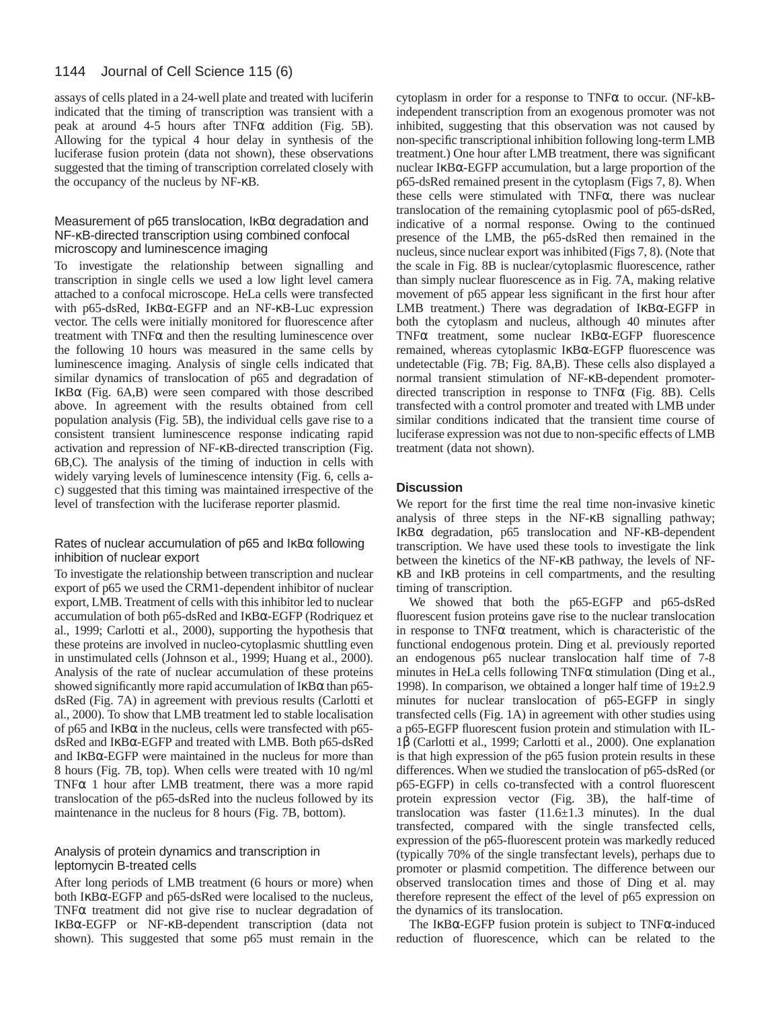assays of cells plated in a 24-well plate and treated with luciferin indicated that the timing of transcription was transient with a peak at around 4-5 hours after  $TNF\alpha$  addition (Fig. 5B). Allowing for the typical 4 hour delay in synthesis of the luciferase fusion protein (data not shown), these observations suggested that the timing of transcription correlated closely with the occupancy of the nucleus by NF-κB.

# Measurement of p65 translocation, IκBα degradation and NF-κB-directed transcription using combined confocal microscopy and luminescence imaging

To investigate the relationship between signalling and transcription in single cells we used a low light level camera attached to a confocal microscope. HeLa cells were transfected with p65-dsRed, IκBα-EGFP and an NF-κB-Luc expression vector. The cells were initially monitored for fluorescence after treatment with  $TNF\alpha$  and then the resulting luminescence over the following 10 hours was measured in the same cells by luminescence imaging. Analysis of single cells indicated that similar dynamics of translocation of p65 and degradation of IκBα (Fig. 6A,B) were seen compared with those described above. In agreement with the results obtained from cell population analysis (Fig. 5B), the individual cells gave rise to a consistent transient luminescence response indicating rapid activation and repression of NF-κB-directed transcription (Fig. 6B,C). The analysis of the timing of induction in cells with widely varying levels of luminescence intensity (Fig. 6, cells ac) suggested that this timing was maintained irrespective of the level of transfection with the luciferase reporter plasmid.

# Rates of nuclear accumulation of p65 and  $\text{lkB}\alpha$  following inhibition of nuclear export

To investigate the relationship between transcription and nuclear export of p65 we used the CRM1-dependent inhibitor of nuclear export, LMB. Treatment of cells with this inhibitor led to nuclear accumulation of both p65-dsRed and IκBα-EGFP (Rodriquez et al., 1999; Carlotti et al., 2000), supporting the hypothesis that these proteins are involved in nucleo-cytoplasmic shuttling even in unstimulated cells (Johnson et al., 1999; Huang et al., 2000). Analysis of the rate of nuclear accumulation of these proteins showed significantly more rapid accumulation of  $I$ κ $B\alpha$  than p65dsRed (Fig. 7A) in agreement with previous results (Carlotti et al., 2000). To show that LMB treatment led to stable localisation of p65 and IκBα in the nucleus, cells were transfected with p65 dsRed and IκBα-EGFP and treated with LMB. Both p65-dsRed and IκBα-EGFP were maintained in the nucleus for more than 8 hours (Fig. 7B, top). When cells were treated with 10 ng/ml TNF $\alpha$  1 hour after LMB treatment, there was a more rapid translocation of the p65-dsRed into the nucleus followed by its maintenance in the nucleus for 8 hours (Fig. 7B, bottom).

# Analysis of protein dynamics and transcription in leptomycin B-treated cells

After long periods of LMB treatment (6 hours or more) when both IκBα-EGFP and p65-dsRed were localised to the nucleus, TNFα treatment did not give rise to nuclear degradation of IκBα-EGFP or NF-κB-dependent transcription (data not shown). This suggested that some p65 must remain in the

cytoplasm in order for a response to TNFα to occur. (NF-kBindependent transcription from an exogenous promoter was not inhibited, suggesting that this observation was not caused by non-specific transcriptional inhibition following long-term LMB treatment.) One hour after LMB treatment, there was significant nuclear IκBα-EGFP accumulation, but a large proportion of the p65-dsRed remained present in the cytoplasm (Figs 7, 8). When these cells were stimulated with TNFα, there was nuclear translocation of the remaining cytoplasmic pool of p65-dsRed, indicative of a normal response. Owing to the continued presence of the LMB, the p65-dsRed then remained in the nucleus, since nuclear export was inhibited (Figs 7, 8). (Note that the scale in Fig. 8B is nuclear/cytoplasmic fluorescence, rather than simply nuclear fluorescence as in Fig. 7A, making relative movement of p65 appear less significant in the first hour after LMB treatment.) There was degradation of IκBα-EGFP in both the cytoplasm and nucleus, although 40 minutes after TNFα treatment, some nuclear IκBα-EGFP fluorescence remained, whereas cytoplasmic IκBα-EGFP fluorescence was undetectable (Fig. 7B; Fig. 8A,B). These cells also displayed a normal transient stimulation of NF-κB-dependent promoterdirected transcription in response to TNFα (Fig. 8B). Cells transfected with a control promoter and treated with LMB under similar conditions indicated that the transient time course of luciferase expression was not due to non-specific effects of LMB treatment (data not shown).

# **Discussion**

We report for the first time the real time non-invasive kinetic analysis of three steps in the NF-κB signalling pathway; IκBα degradation, p65 translocation and NF-κB-dependent transcription. We have used these tools to investigate the link between the kinetics of the NF-κB pathway, the levels of NFκB and IκB proteins in cell compartments, and the resulting timing of transcription.

We showed that both the p65-EGFP and p65-dsRed fluorescent fusion proteins gave rise to the nuclear translocation in response to TNFα treatment, which is characteristic of the functional endogenous protein. Ding et al. previously reported an endogenous p65 nuclear translocation half time of 7-8 minutes in HeLa cells following  $TNF\alpha$  stimulation (Ding et al., 1998). In comparison, we obtained a longer half time of 19±2.9 minutes for nuclear translocation of p65-EGFP in singly transfected cells (Fig. 1A) in agreement with other studies using a p65-EGFP fluorescent fusion protein and stimulation with IL-1β (Carlotti et al., 1999; Carlotti et al., 2000). One explanation is that high expression of the p65 fusion protein results in these differences. When we studied the translocation of p65-dsRed (or p65-EGFP) in cells co-transfected with a control fluorescent protein expression vector (Fig. 3B), the half-time of translocation was faster (11.6±1.3 minutes). In the dual transfected, compared with the single transfected cells, expression of the p65-fluorescent protein was markedly reduced (typically 70% of the single transfectant levels), perhaps due to promoter or plasmid competition. The difference between our observed translocation times and those of Ding et al. may therefore represent the effect of the level of p65 expression on the dynamics of its translocation.

The IKB $\alpha$ -EGFP fusion protein is subject to TNF $\alpha$ -induced reduction of fluorescence, which can be related to the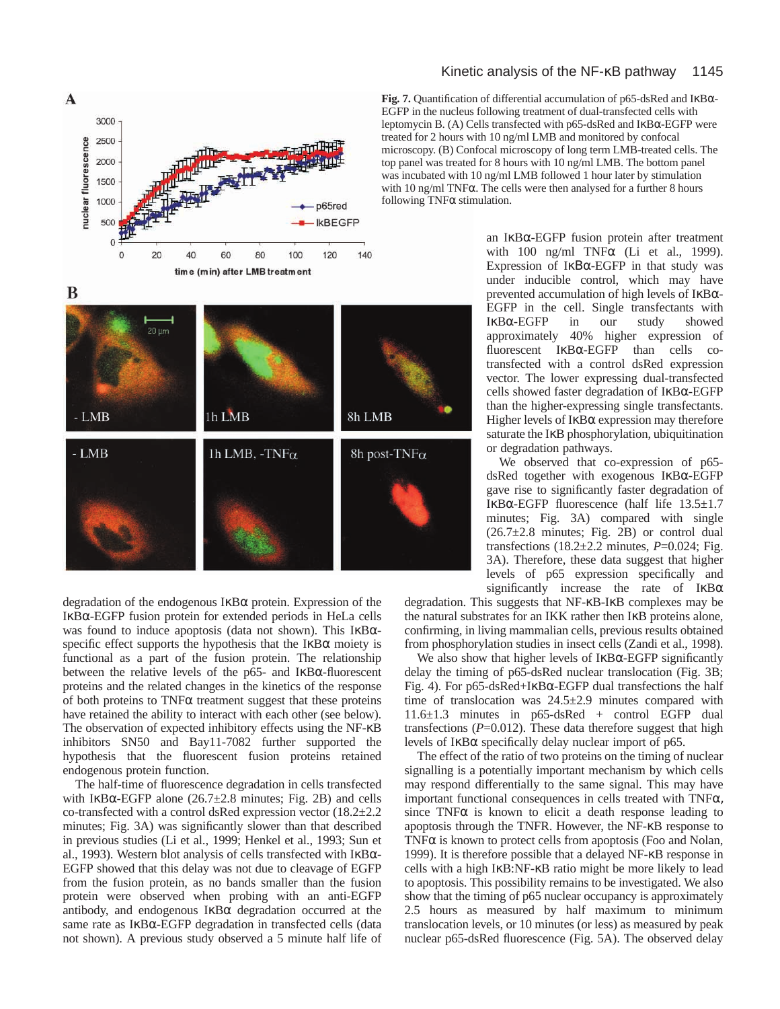

degradation of the endogenous IκBα protein. Expression of the IκBα-EGFP fusion protein for extended periods in HeLa cells was found to induce apoptosis (data not shown). This IκBαspecific effect supports the hypothesis that the  $I \kappa B\alpha$  moiety is functional as a part of the fusion protein. The relationship between the relative levels of the p65- and IκBα-fluorescent proteins and the related changes in the kinetics of the response of both proteins to  $TNF\alpha$  treatment suggest that these proteins have retained the ability to interact with each other (see below). The observation of expected inhibitory effects using the NF-κB inhibitors SN50 and Bay11-7082 further supported the hypothesis that the fluorescent fusion proteins retained endogenous protein function.

The half-time of fluorescence degradation in cells transfected with IKB $\alpha$ -EGFP alone (26.7 $\pm$ 2.8 minutes; Fig. 2B) and cells co-transfected with a control dsRed expression vector (18.2±2.2 minutes; Fig. 3A) was significantly slower than that described in previous studies (Li et al., 1999; Henkel et al., 1993; Sun et al., 1993). Western blot analysis of cells transfected with IκBα-EGFP showed that this delay was not due to cleavage of EGFP from the fusion protein, as no bands smaller than the fusion protein were observed when probing with an anti-EGFP antibody, and endogenous IκBα degradation occurred at the same rate as IκBα-EGFP degradation in transfected cells (data not shown). A previous study observed a 5 minute half life of

# Kinetic analysis of the NF-κB pathway 1145

**Fig. 7.** Quantification of differential accumulation of p65-dsRed and IκBα-EGFP in the nucleus following treatment of dual-transfected cells with leptomycin B. (A) Cells transfected with p65-dsRed and IκBα-EGFP were treated for 2 hours with 10 ng/ml LMB and monitored by confocal microscopy. (B) Confocal microscopy of long term LMB-treated cells. The top panel was treated for 8 hours with 10 ng/ml LMB. The bottom panel was incubated with 10 ng/ml LMB followed 1 hour later by stimulation with 10 ng/ml TNFα. The cells were then analysed for a further 8 hours following TNFα stimulation.

> an IκBα-EGFP fusion protein after treatment with 100 ng/ml TNF $\alpha$  (Li et al., 1999). Expression of IκΒα-EGFP in that study was under inducible control, which may have prevented accumulation of high levels of IκBα-EGFP in the cell. Single transfectants with IκBα-EGFP in our study showed approximately 40% higher expression of fluorescent IκBα-EGFP than cells cotransfected with a control dsRed expression vector. The lower expressing dual-transfected cells showed faster degradation of IκBα-EGFP than the higher-expressing single transfectants. Higher levels of  $I \kappa B\alpha$  expression may therefore saturate the IκB phosphorylation, ubiquitination or degradation pathways.

> We observed that co-expression of p65 dsRed together with exogenous IκBα-EGFP gave rise to significantly faster degradation of IκBα-EGFP fluorescence (half life 13.5±1.7 minutes; Fig. 3A) compared with single (26.7±2.8 minutes; Fig. 2B) or control dual transfections  $(18.2 \pm 2.2 \text{ minutes}, P=0.024; \text{Fig.})$ 3A). Therefore, these data suggest that higher levels of p65 expression specifically and significantly increase the rate of  $I\kappa B\alpha$

degradation. This suggests that NF-κB-IκB complexes may be the natural substrates for an IKK rather then IκB proteins alone, confirming, in living mammalian cells, previous results obtained from phosphorylation studies in insect cells (Zandi et al., 1998).

We also show that higher levels of  $I \kappa B\alpha$ -EGFP significantly delay the timing of p65-dsRed nuclear translocation (Fig. 3B; Fig. 4). For p65-dsRed+I $\kappa$ B $\alpha$ -EGFP dual transfections the half time of translocation was 24.5±2.9 minutes compared with 11.6±1.3 minutes in p65-dsRed + control EGFP dual transfections  $(P=0.012)$ . These data therefore suggest that high levels of IκBα specifically delay nuclear import of p65.

The effect of the ratio of two proteins on the timing of nuclear signalling is a potentially important mechanism by which cells may respond differentially to the same signal. This may have important functional consequences in cells treated with TNFα, since  $TNF\alpha$  is known to elicit a death response leading to apoptosis through the TNFR. However, the NF-κB response to TNF $\alpha$  is known to protect cells from apoptosis (Foo and Nolan, 1999). It is therefore possible that a delayed NF-κB response in cells with a high IκB:NF-κB ratio might be more likely to lead to apoptosis. This possibility remains to be investigated. We also show that the timing of p65 nuclear occupancy is approximately 2.5 hours as measured by half maximum to minimum translocation levels, or 10 minutes (or less) as measured by peak nuclear p65-dsRed fluorescence (Fig. 5A). The observed delay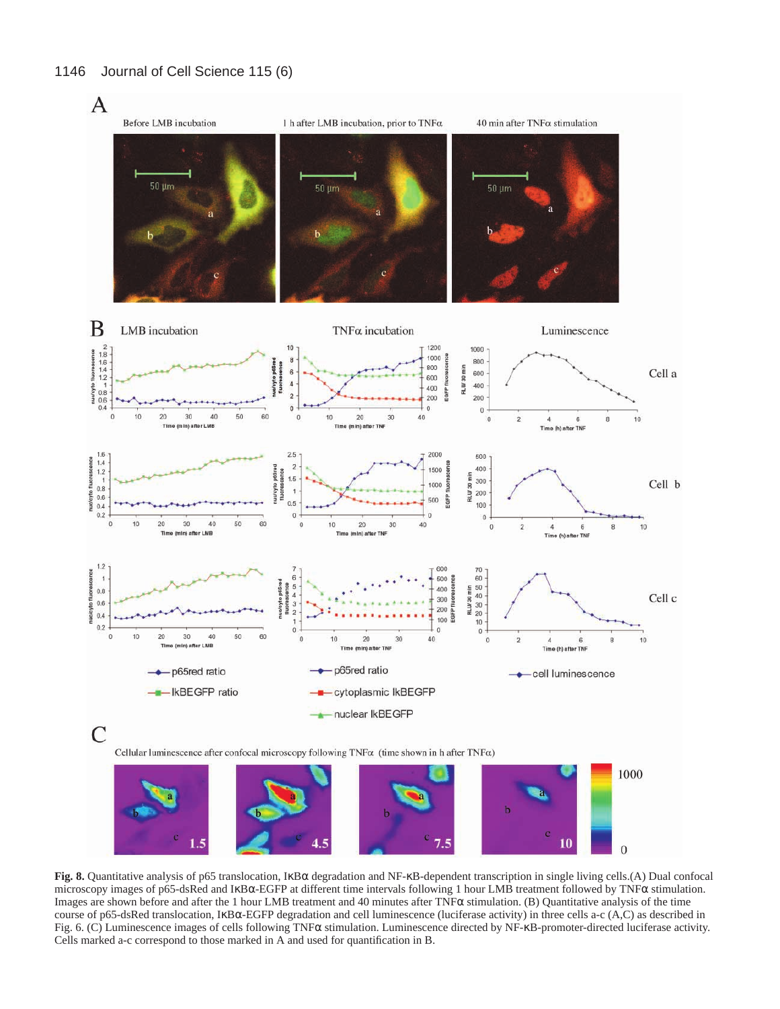

**Fig. 8.** Quantitative analysis of p65 translocation, IκBα degradation and NF-κB-dependent transcription in single living cells.(A) Dual confocal microscopy images of p65-dsRed and IκBα-EGFP at different time intervals following 1 hour LMB treatment followed by TNFα stimulation. Images are shown before and after the 1 hour LMB treatment and 40 minutes after TNFα stimulation. (B) Quantitative analysis of the time course of p65-dsRed translocation, IκBα-EGFP degradation and cell luminescence (luciferase activity) in three cells a-c (A,C) as described in Fig. 6. (C) Luminescence images of cells following TNFα stimulation. Luminescence directed by NF-κB-promoter-directed luciferase activity. Cells marked a-c correspond to those marked in A and used for quantification in B.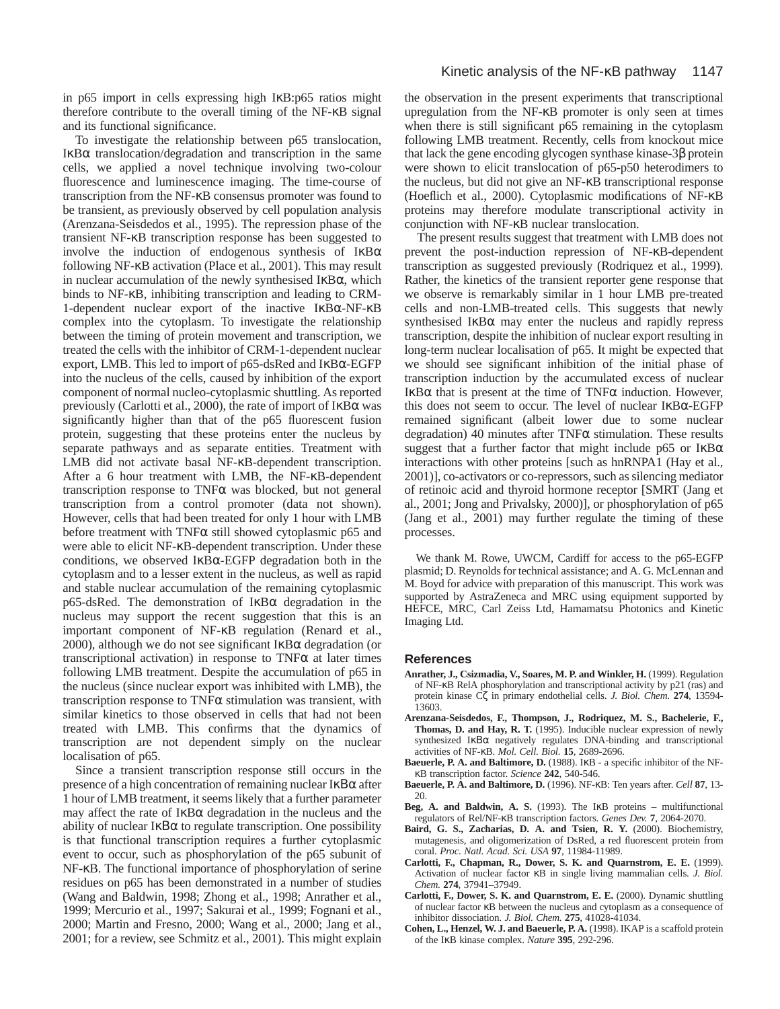in p65 import in cells expressing high IκB:p65 ratios might therefore contribute to the overall timing of the NF-κB signal and its functional significance.

To investigate the relationship between p65 translocation, IκBα translocation/degradation and transcription in the same cells, we applied a novel technique involving two-colour fluorescence and luminescence imaging. The time-course of transcription from the NF-κB consensus promoter was found to be transient, as previously observed by cell population analysis (Arenzana-Seisdedos et al., 1995). The repression phase of the transient NF-κB transcription response has been suggested to involve the induction of endogenous synthesis of  $I \kappa B\alpha$ following NF-κB activation (Place et al., 2001). This may result in nuclear accumulation of the newly synthesised  $I\kappa B\alpha$ , which binds to NF-κB, inhibiting transcription and leading to CRM-1-dependent nuclear export of the inactive IκBα-NF-κB complex into the cytoplasm. To investigate the relationship between the timing of protein movement and transcription, we treated the cells with the inhibitor of CRM-1-dependent nuclear export, LMB. This led to import of p65-dsRed and IκBα-EGFP into the nucleus of the cells, caused by inhibition of the export component of normal nucleo-cytoplasmic shuttling. As reported previously (Carlotti et al., 2000), the rate of import of IκBα was significantly higher than that of the p65 fluorescent fusion protein, suggesting that these proteins enter the nucleus by separate pathways and as separate entities. Treatment with LMB did not activate basal NF-κB-dependent transcription. After a 6 hour treatment with LMB, the NF-κB-dependent transcription response to TNFα was blocked, but not general transcription from a control promoter (data not shown). However, cells that had been treated for only 1 hour with LMB before treatment with TNF $\alpha$  still showed cytoplasmic p65 and were able to elicit NF-κB-dependent transcription. Under these conditions, we observed IκBα-EGFP degradation both in the cytoplasm and to a lesser extent in the nucleus, as well as rapid and stable nuclear accumulation of the remaining cytoplasmic p65-dsRed. The demonstration of IκBα degradation in the nucleus may support the recent suggestion that this is an important component of NF-κB regulation (Renard et al., 2000), although we do not see significant  $I$ <sub>KB $\alpha$ </sub> degradation (or transcriptional activation) in response to  $TNF\alpha$  at later times following LMB treatment. Despite the accumulation of p65 in the nucleus (since nuclear export was inhibited with LMB), the transcription response to  $TNF\alpha$  stimulation was transient, with similar kinetics to those observed in cells that had not been treated with LMB. This confirms that the dynamics of transcription are not dependent simply on the nuclear localisation of p65.

Since a transient transcription response still occurs in the presence of a high concentration of remaining nuclear IκΒα after 1 hour of LMB treatment, it seems likely that a further parameter may affect the rate of  $I \kappa B\alpha$  degradation in the nucleus and the ability of nuclear IκΒα to regulate transcription. One possibility is that functional transcription requires a further cytoplasmic event to occur, such as phosphorylation of the p65 subunit of NF-κB. The functional importance of phosphorylation of serine residues on p65 has been demonstrated in a number of studies (Wang and Baldwin, 1998; Zhong et al., 1998; Anrather et al., 1999; Mercurio et al., 1997; Sakurai et al., 1999; Fognani et al., 2000; Martin and Fresno, 2000; Wang et al., 2000; Jang et al., 2001; for a review, see Schmitz et al., 2001). This might explain

the observation in the present experiments that transcriptional upregulation from the NF-κB promoter is only seen at times when there is still significant p65 remaining in the cytoplasm following LMB treatment. Recently, cells from knockout mice that lack the gene encoding glycogen synthase kinase-3β protein were shown to elicit translocation of p65-p50 heterodimers to the nucleus, but did not give an NF-κB transcriptional response (Hoeflich et al., 2000). Cytoplasmic modifications of NF-κB proteins may therefore modulate transcriptional activity in conjunction with NF-κB nuclear translocation.

The present results suggest that treatment with LMB does not prevent the post-induction repression of NF-κB-dependent transcription as suggested previously (Rodriquez et al., 1999). Rather, the kinetics of the transient reporter gene response that we observe is remarkably similar in 1 hour LMB pre-treated cells and non-LMB-treated cells. This suggests that newly synthesised  $I$ κ $B\alpha$  may enter the nucleus and rapidly repress transcription, despite the inhibition of nuclear export resulting in long-term nuclear localisation of p65. It might be expected that we should see significant inhibition of the initial phase of transcription induction by the accumulated excess of nuclear IκBα that is present at the time of TNFα induction. However, this does not seem to occur. The level of nuclear IκBα-EGFP remained significant (albeit lower due to some nuclear degradation) 40 minutes after TNFα stimulation. These results suggest that a further factor that might include p65 or  $I\kappa B\alpha$ interactions with other proteins [such as hnRNPA1 (Hay et al., 2001)], co-activators or co-repressors, such as silencing mediator of retinoic acid and thyroid hormone receptor [SMRT (Jang et al., 2001; Jong and Privalsky, 2000)], or phosphorylation of p65 (Jang et al., 2001) may further regulate the timing of these processes.

We thank M. Rowe, UWCM, Cardiff for access to the p65-EGFP plasmid; D. Reynolds for technical assistance; and A. G. McLennan and M. Boyd for advice with preparation of this manuscript. This work was supported by AstraZeneca and MRC using equipment supported by HEFCE, MRC, Carl Zeiss Ltd, Hamamatsu Photonics and Kinetic Imaging Ltd.

#### **References**

- **Anrather, J., Csizmadia, V., Soares, M. P. and Winkler, H.** (1999). Regulation of NF-κB RelA phosphorylation and transcriptional activity by p21 (ras) and protein kinase Cζ in primary endothelial cells. *J. Biol. Chem.* **274**, 13594- 13603.
- **Arenzana-Seisdedos, F., Thompson, J., Rodriquez, M. S., Bachelerie, F., Thomas, D. and Hay, R. T.** (1995). Inducible nuclear expression of newly synthesized IκΒα negatively regulates DNA-binding and transcriptional activities of NF-κB. *Mol. Cell. Biol.* **15**, 2689-2696.
- **Baeuerle, P. A. and Baltimore, D.** (1988). IκB a specific inhibitor of the NFκB transcription factor. *Science* **242**, 540-546.
- **Baeuerle, P. A. and Baltimore, D.** (1996). NF-κB: Ten years after. *Cell* **87**, 13- 20.
- Beg, A. and Baldwin, A. S. (1993). The I<sub>KB</sub> proteins multifunctional regulators of Rel/NF-κB transcription factors. *Genes Dev.* **7**, 2064-2070.
- Baird, G. S., Zacharias, D. A. and Tsien, R. Y. (2000). Biochemistry, mutagenesis, and oligomerization of DsRed, a red fluorescent protein from coral. *Proc. Natl. Acad. Sci. USA* **97**, 11984-11989.
- **Carlotti, F., Chapman, R., Dower, S. K. and Quarnstrom, E. E.** (1999). Activation of nuclear factor κB in single living mammalian cells. *J. Biol. Chem.* **274**, 37941–37949.
- **Carlotti, F., Dower, S. K. and Quarnstrom, E. E.** (2000). Dynamic shuttling of nuclear factor κB between the nucleus and cytoplasm as a consequence of inhibitor dissociation. *J. Biol. Chem.* **275**, 41028-41034.
- **Cohen, L., Henzel, W. J. and Baeuerle, P. A.** (1998). IKAP is a scaffold protein of the IκB kinase complex. *Nature* **395**, 292-296.